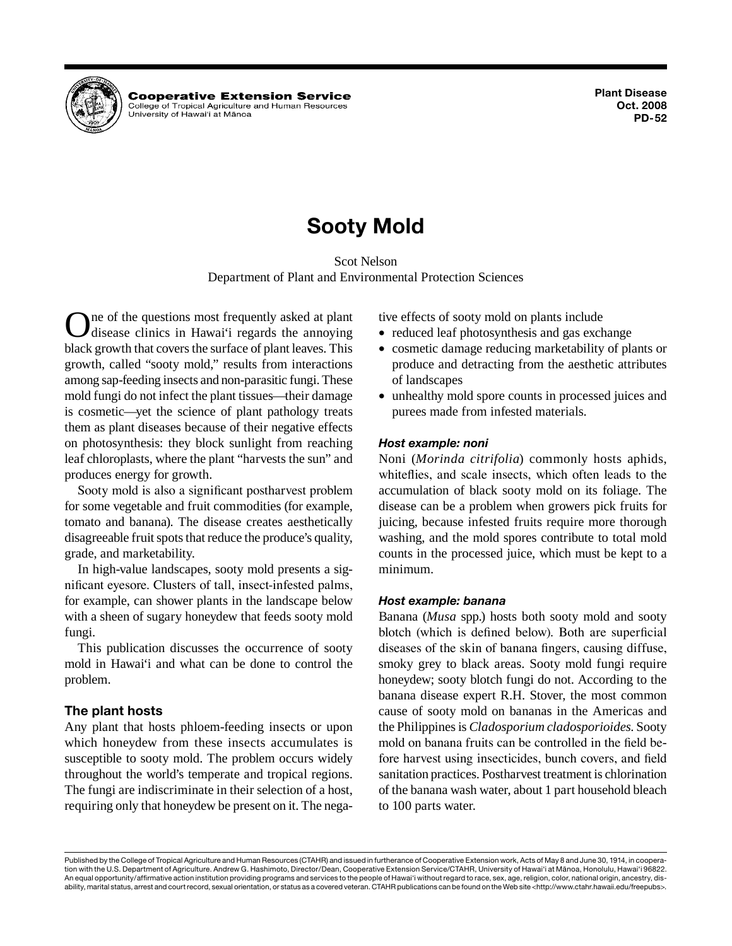

**Cooperative Extension Service** College of Tropical Agriculture and Human Resources University of Hawai'i at Mānoa

# **Sooty Mold**

Scot Nelson Department of Plant and Environmental Protection Sciences

One of the questions most frequently asked at plant disease clinics in Hawai'i regards the annoying black growth that covers the surface of plant leaves. This growth, called "sooty mold," results from interactions among sap-feeding insects and non-parasitic fungi. These mold fungi do not infect the plant tissues—their damage is cosmetic—yet the science of plant pathology treats them as plant diseases because of their negative effects on photosynthesis: they block sunlight from reaching leaf chloroplasts, where the plant "harvests the sun" and produces energy for growth.

Sooty mold is also a significant postharvest problem for some vegetable and fruit commodities (for example, tomato and banana). The disease creates aesthetically disagreeable fruit spots that reduce the produce's quality, grade, and marketability.

In high-value landscapes, sooty mold presents a significant eyesore. Clusters of tall, insect-infested palms, for example, can shower plants in the landscape below with a sheen of sugary honeydew that feeds sooty mold fungi.

This publication discusses the occurrence of sooty mold in Hawai'i and what can be done to control the problem.

# **The plant hosts**

Any plant that hosts phloem-feeding insects or upon which honeydew from these insects accumulates is susceptible to sooty mold. The problem occurs widely throughout the world's temperate and tropical regions. The fungi are indiscriminate in their selection of a host, requiring only that honeydew be present on it. The negative effects of sooty mold on plants include

- reduced leaf photosynthesis and gas exchange
- • cosmetic damage reducing marketability of plants or produce and detracting from the aesthetic attributes of landscapes
- unhealthy mold spore counts in processed juices and purees made from infested materials.

# *Host example: noni*

Noni (*Morinda citrifolia*) commonly hosts aphids, whiteflies, and scale insects, which often leads to the accumulation of black sooty mold on its foliage. The disease can be a problem when growers pick fruits for juicing, because infested fruits require more thorough washing, and the mold spores contribute to total mold counts in the processed juice, which must be kept to a minimum.

#### *Host example: banana*

Banana (*Musa* spp.) hosts both sooty mold and sooty blotch (which is defined below). Both are superficial diseases of the skin of banana fingers, causing diffuse, smoky grey to black areas. Sooty mold fungi require honeydew; sooty blotch fungi do not. According to the banana disease expert R.H. Stover, the most common cause of sooty mold on bananas in the Americas and the Philippines is *Cladosporium cladosporioides*. Sooty mold on banana fruits can be controlled in the field before harvest using insecticides, bunch covers, and field sanitation practices. Postharvest treatment is chlorination of the banana wash water, about 1 part household bleach to 100 parts water.

Published by the College of Tropical Agriculture and Human Resources (CTAHR) and issued in furtherance of Cooperative Extension work, Acts of May 8 and June 30, 1914, in cooperation with the U.S. Department of Agriculture. Andrew G. Hashimoto, Director/Dean, Cooperative Extension Service/CTAHR, University of Hawai'i at Mänoa, Honolulu, Hawai'i 96822. An equal opportunity/affirmative action institution providing programs and services to the people of Hawai'i without regard to race, sex, age, religion, color, national origin, ancestry, disability, marital status, arrest and court record, sexual orientation, or status as a covered veteran. CTAHR publications can be found on the Web site <http://www.ctahr.hawaii.edu/freepubs>.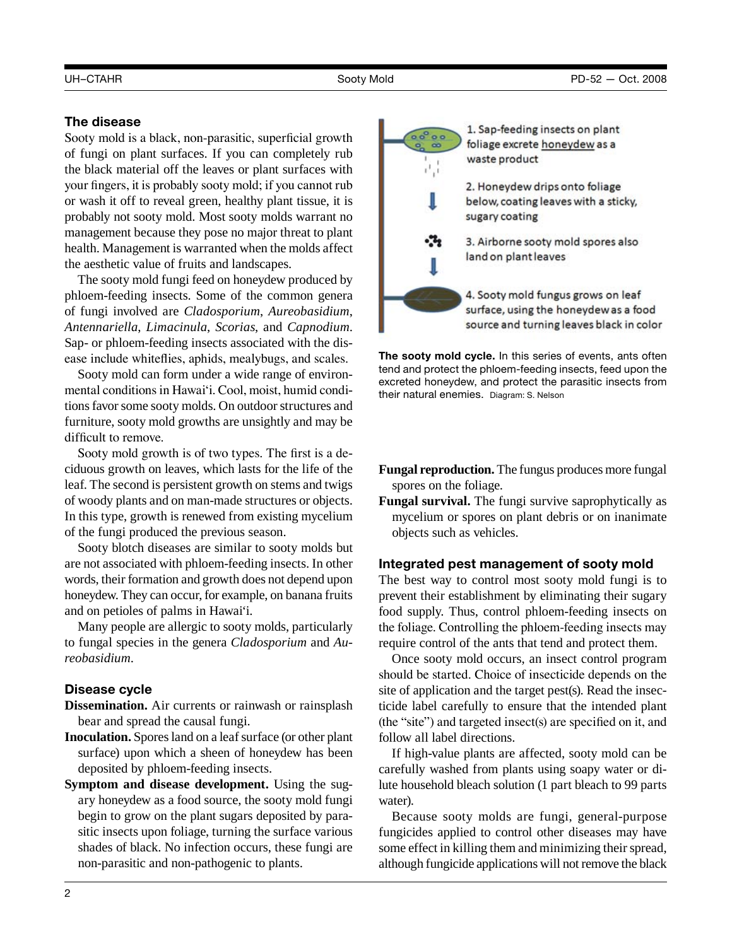# **The disease**

Sooty mold is a black, non-parasitic, superficial growth of fungi on plant surfaces. If you can completely rub the black material off the leaves or plant surfaces with your fingers, it is probably sooty mold; if you cannot rub or wash it off to reveal green, healthy plant tissue, it is probably not sooty mold. Most sooty molds warrant no management because they pose no major threat to plant health. Management is warranted when the molds affect the aesthetic value of fruits and landscapes.

The sooty mold fungi feed on honeydew produced by phloem-feeding insects. Some of the common genera of fungi involved are *Cladosporium*, *Aureobasidium*, *Antennariella*, *Limacinula*, *Scorias*, and *Capnodium*. Sap- or phloem-feeding insects associated with the disease include whiteflies, aphids, mealybugs, and scales.

Sooty mold can form under a wide range of environmental conditions in Hawai'i. Cool, moist, humid conditions favor some sooty molds. On outdoor structures and furniture, sooty mold growths are unsightly and may be difficult to remove.

 Sooty mold growth is of two types. The first is a deciduous growth on leaves, which lasts for the life of the leaf. The second is persistent growth on stems and twigs of woody plants and on man-made structures or objects. In this type, growth is renewed from existing mycelium of the fungi produced the previous season.

Sooty blotch diseases are similar to sooty molds but are not associated with phloem-feeding insects. In other words, their formation and growth does not depend upon honeydew. They can occur, for example, on banana fruits and on petioles of palms in Hawai'i.

Many people are allergic to sooty molds, particularly to fungal species in the genera *Cladosporium* and *Aureobasidium*.

# **Disease cycle**

**Dissemination.** Air currents or rainwash or rainsplash bear and spread the causal fungi.

- **Inoculation.** Spores land on a leaf surface (or other plant surface) upon which a sheen of honeydew has been deposited by phloem-feeding insects.
- **Symptom and disease development.** Using the sugary honeydew as a food source, the sooty mold fungi begin to grow on the plant sugars deposited by parasitic insects upon foliage, turning the surface various shades of black. No infection occurs, these fungi are non-parasitic and non-pathogenic to plants.



1. Sap-feeding insects on plant foliage excrete honeydew as a waste product

2. Honeydew drips onto foliage below, coating leaves with a sticky, sugary coating

3. Airborne sooty mold spores also land on plant leaves

4. Sooty mold fungus grows on leaf surface, using the honeydewas a food source and turning leaves black in color

**The sooty mold cycle.** In this series of events, ants often tend and protect the phloem-feeding insects, feed upon the excreted honeydew, and protect the parasitic insects from their natural enemies. Diagram: S. Nelson

- **Fungal reproduction.** The fungus produces more fungal spores on the foliage.
- **Fungal survival.** The fungi survive saprophytically as mycelium or spores on plant debris or on inanimate objects such as vehicles.

# **Integrated pest management of sooty mold**

The best way to control most sooty mold fungi is to prevent their establishment by eliminating their sugary food supply. Thus, control phloem-feeding insects on the foliage. Controlling the phloem-feeding insects may require control of the ants that tend and protect them.

Once sooty mold occurs, an insect control program should be started. Choice of insecticide depends on the site of application and the target pest(s). Read the insecticide label carefully to ensure that the intended plant (the "site") and targeted insect(s) are specified on it, and follow all label directions.

If high-value plants are affected, sooty mold can be carefully washed from plants using soapy water or dilute household bleach solution (1 part bleach to 99 parts water).

Because sooty molds are fungi, general-purpose fungicides applied to control other diseases may have some effect in killing them and minimizing their spread, although fungicide applications will not remove the black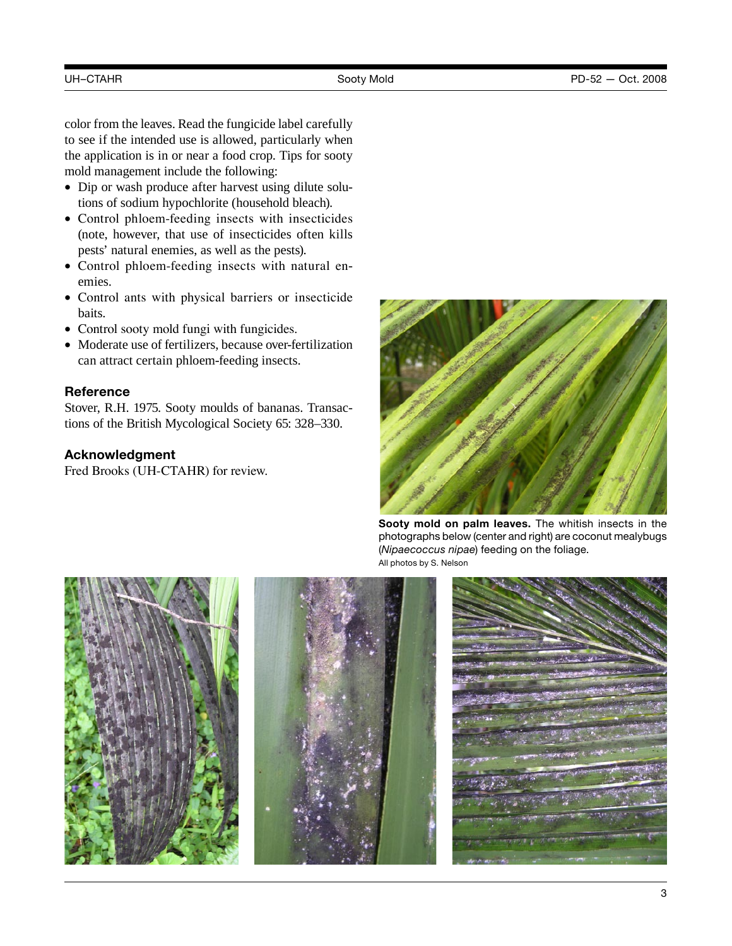color from the leaves. Read the fungicide label carefully to see if the intended use is allowed, particularly when the application is in or near a food crop. Tips for sooty mold management include the following:

- Dip or wash produce after harvest using dilute solutions of sodium hypochlorite (household bleach).
- Control phloem-feeding insects with insecticides (note, however, that use of insecticides often kills pests' natural enemies, as well as the pests).
- Control phloem-feeding insects with natural enemies.
- Control ants with physical barriers or insecticide baits.
- Control sooty mold fungi with fungicides.
- Moderate use of fertilizers, because over-fertilization can attract certain phloem-feeding insects.

# **Reference**

Stover, R.H. 1975. Sooty moulds of bananas. Transactions of the British Mycological Society 65: 328–330.

# **Acknowledgment**

Fred Brooks (UH-CTAHR) for review.



**Sooty mold on palm leaves.** The whitish insects in the photographs below (center and right) are coconut mealybugs (*Nipaecoccus nipae*) feeding on the foliage. All photos by S. Nelson

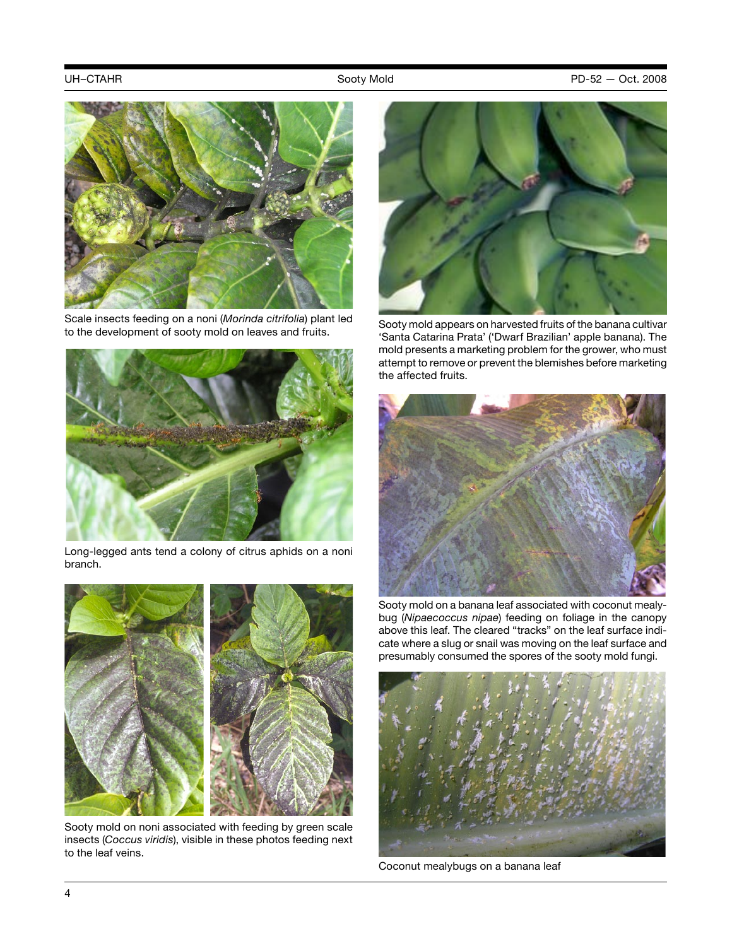

Scale insects feeding on a noni (*Morinda citrifolia*) plant led to the development of sooty mold on leaves and fruits.



Long-legged ants tend a colony of citrus aphids on a noni branch.



Sooty mold on noni associated with feeding by green scale insects (*Coccus viridis*), visible in these photos feeding next to the leaf veins.



Sooty mold appears on harvested fruits of the banana cultivar 'Santa Catarina Prata' ('Dwarf Brazilian' apple banana). The mold presents a marketing problem for the grower, who must attempt to remove or prevent the blemishes before marketing the affected fruits.



Sooty mold on a banana leaf associated with coconut mealybug (*Nipaecoccus nipae*) feeding on foliage in the canopy above this leaf. The cleared "tracks" on the leaf surface indicate where a slug or snail was moving on the leaf surface and presumably consumed the spores of the sooty mold fungi.



Coconut mealybugs on a banana leaf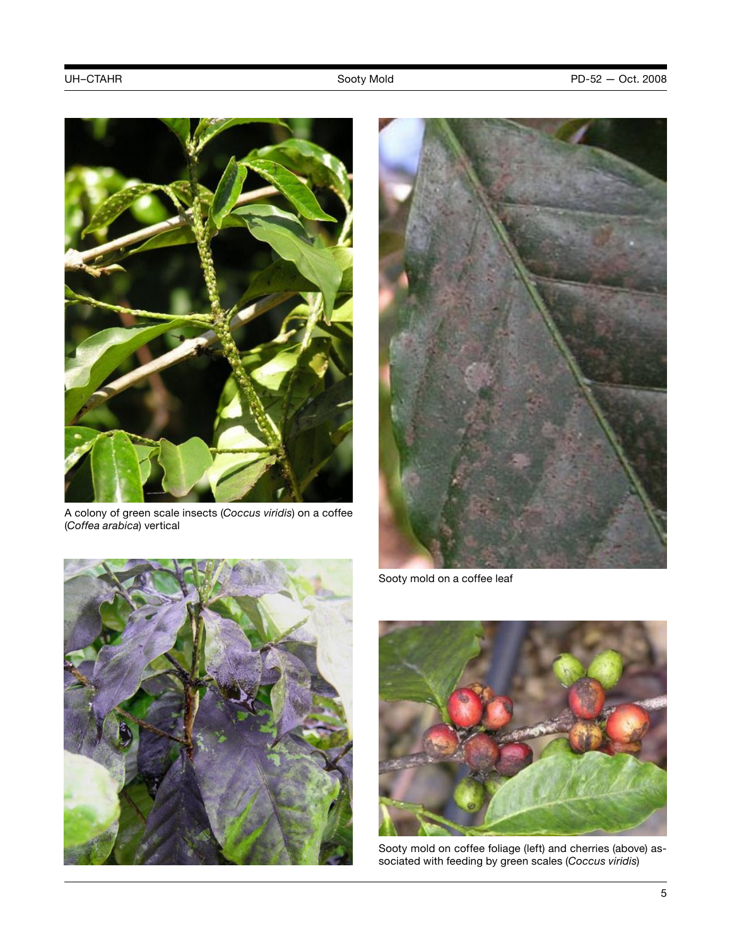

A colony of green scale insects (*Coccus viridis*) on a coffee (*Coffea arabica*) vertical



Sooty mold on a coffee leaf





Sooty mold on coffee foliage (left) and cherries (above) associated with feeding by green scales (*Coccus viridis*)